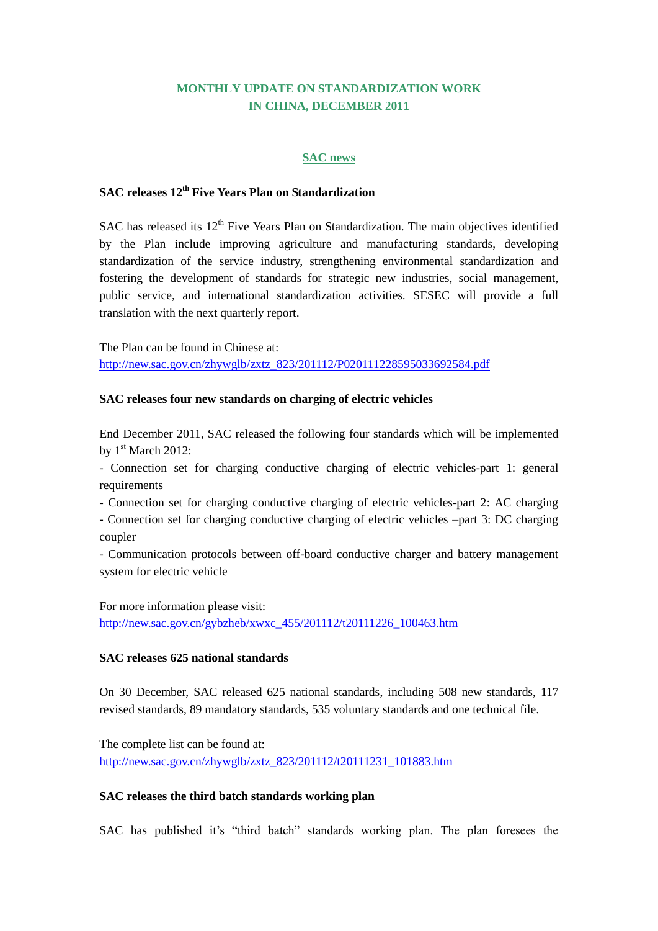# **MONTHLY UPDATE ON STANDARDIZATION WORK IN CHINA, DECEMBER 2011**

#### **SAC news**

# **SAC releases 12th Five Years Plan on Standardization**

SAC has released its  $12<sup>th</sup>$  Five Years Plan on Standardization. The main objectives identified by the Plan include improving agriculture and manufacturing standards, developing standardization of the service industry, strengthening environmental standardization and fostering the development of standards for strategic new industries, social management, public service, and international standardization activities. SESEC will provide a full translation with the next quarterly report.

The Plan can be found in Chinese at: [http://new.sac.gov.cn/zhywglb/zxtz\\_823/201112/P020111228595033692584.pdf](http://new.sac.gov.cn/zhywglb/zxtz_823/201112/P020111228595033692584.pdf)

#### **SAC releases four new standards on charging of electric vehicles**

End December 2011, SAC released the following four standards which will be implemented by  $1<sup>st</sup> March 2012$ :

- Connection set for charging conductive charging of electric vehicles-part 1: general requirements

- Connection set for charging conductive charging of electric vehicles-part 2: AC charging

- Connection set for charging conductive charging of electric vehicles –part 3: DC charging coupler

- Communication protocols between off-board conductive charger and battery management system for electric vehicle

For more information please visit: [http://new.sac.gov.cn/gybzheb/xwxc\\_455/201112/t20111226\\_100463.htm](http://new.sac.gov.cn/gybzheb/xwxc_455/201112/t20111226_100463.htm)

#### **SAC releases 625 national standards**

On 30 December, SAC released 625 national standards, including 508 new standards, 117 revised standards, 89 mandatory standards, 535 voluntary standards and one technical file.

The complete list can be found at: [http://new.sac.gov.cn/zhywglb/zxtz\\_823/201112/t20111231\\_101883.htm](http://new.sac.gov.cn/zhywglb/zxtz_823/201112/t20111231_101883.htm)

#### **SAC releases the third batch standards working plan**

SAC has published it's "third batch" standards working plan. The plan foresees the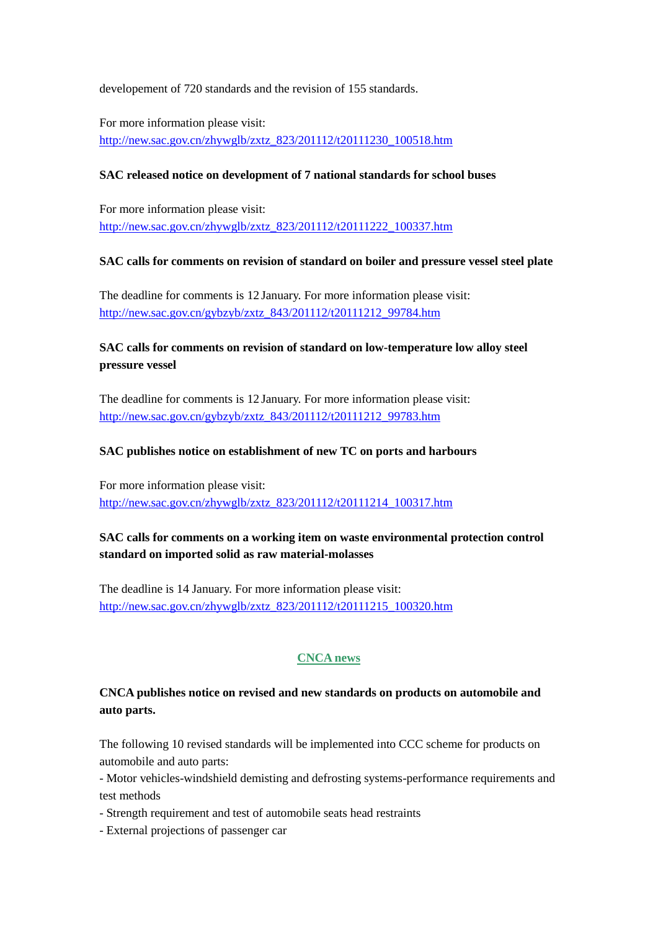developement of 720 standards and the revision of 155 standards.

For more information please visit: [http://new.sac.gov.cn/zhywglb/zxtz\\_823/201112/t20111230\\_100518.htm](http://new.sac.gov.cn/zhywglb/zxtz_823/201112/t20111230_100518.htm)

### **SAC released notice on development of 7 national standards for school buses**

For more information please visit: [http://new.sac.gov.cn/zhywglb/zxtz\\_823/201112/t20111222\\_100337.htm](http://new.sac.gov.cn/zhywglb/zxtz_823/201112/t20111222_100337.htm)

### **SAC calls for comments on revision of standard on boiler and pressure vessel steel plate**

The deadline for comments is 12 January. For more information please visit: [http://new.sac.gov.cn/gybzyb/zxtz\\_843/201112/t20111212\\_99784.htm](http://new.sac.gov.cn/gybzyb/zxtz_843/201112/t20111212_99784.htm)

# **SAC calls for comments on revision of standard on low-temperature low alloy steel pressure vessel**

The deadline for comments is 12 January. For more information please visit: [http://new.sac.gov.cn/gybzyb/zxtz\\_843/201112/t20111212\\_99783.htm](http://new.sac.gov.cn/gybzyb/zxtz_843/201112/t20111212_99783.htm)

### **SAC publishes notice on establishment of new TC on ports and harbours**

For more information please visit: [http://new.sac.gov.cn/zhywglb/zxtz\\_823/201112/t20111214\\_100317.htm](http://new.sac.gov.cn/zhywglb/zxtz_823/201112/t20111214_100317.htm)

# **SAC calls for comments on a working item on waste environmental protection control standard on imported solid as raw material-molasses**

The deadline is 14 January. For more information please visit: [http://new.sac.gov.cn/zhywglb/zxtz\\_823/201112/t20111215\\_100320.htm](http://new.sac.gov.cn/zhywglb/zxtz_823/201112/t20111215_100320.htm)

### **CNCA news**

# **CNCA publishes notice on revised and new standards on products on automobile and auto parts.**

The following 10 revised standards will be implemented into CCC scheme for products on automobile and auto parts:

- Motor vehicles-windshield demisting and defrosting systems-performance requirements and test methods

- Strength requirement and test of automobile seats head restraints
- External projections of passenger car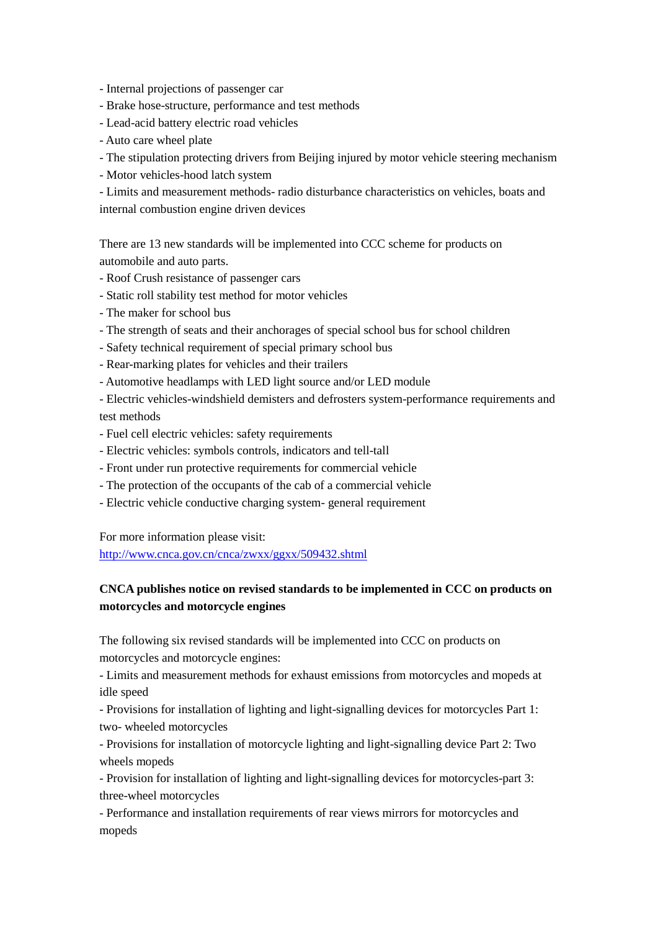- Internal projections of passenger car

- Brake hose-structure, performance and test methods
- Lead-acid battery electric road vehicles
- Auto care wheel plate
- The stipulation protecting drivers from Beijing injured by motor vehicle steering mechanism
- Motor vehicles-hood latch system
- Limits and measurement methods- radio disturbance characteristics on vehicles, boats and internal combustion engine driven devices

There are 13 new standards will be implemented into CCC scheme for products on automobile and auto parts.

- Roof Crush resistance of passenger cars
- Static roll stability test method for motor vehicles
- The maker for school bus
- The strength of seats and their anchorages of special school bus for school children
- Safety technical requirement of special primary school bus
- Rear-marking plates for vehicles and their trailers
- Automotive headlamps with LED light source and/or LED module
- Electric vehicles-windshield demisters and defrosters system-performance requirements and test methods
- Fuel cell electric vehicles: safety requirements
- Electric vehicles: symbols controls, indicators and tell-tall
- Front under run protective requirements for commercial vehicle
- The protection of the occupants of the cab of a commercial vehicle
- Electric vehicle conductive charging system- general requirement

For more information please visit:

<http://www.cnca.gov.cn/cnca/zwxx/ggxx/509432.shtml>

# **CNCA publishes notice on revised standards to be implemented in CCC on products on motorcycles and motorcycle engines**

The following six revised standards will be implemented into CCC on products on motorcycles and motorcycle engines:

- Limits and measurement methods for exhaust emissions from motorcycles and mopeds at idle speed

- Provisions for installation of lighting and light-signalling devices for motorcycles Part 1: two- wheeled motorcycles

- Provisions for installation of motorcycle lighting and light-signalling device Part 2: Two wheels mopeds

- Provision for installation of lighting and light-signalling devices for motorcycles-part 3: three-wheel motorcycles

- Performance and installation requirements of rear views mirrors for motorcycles and mopeds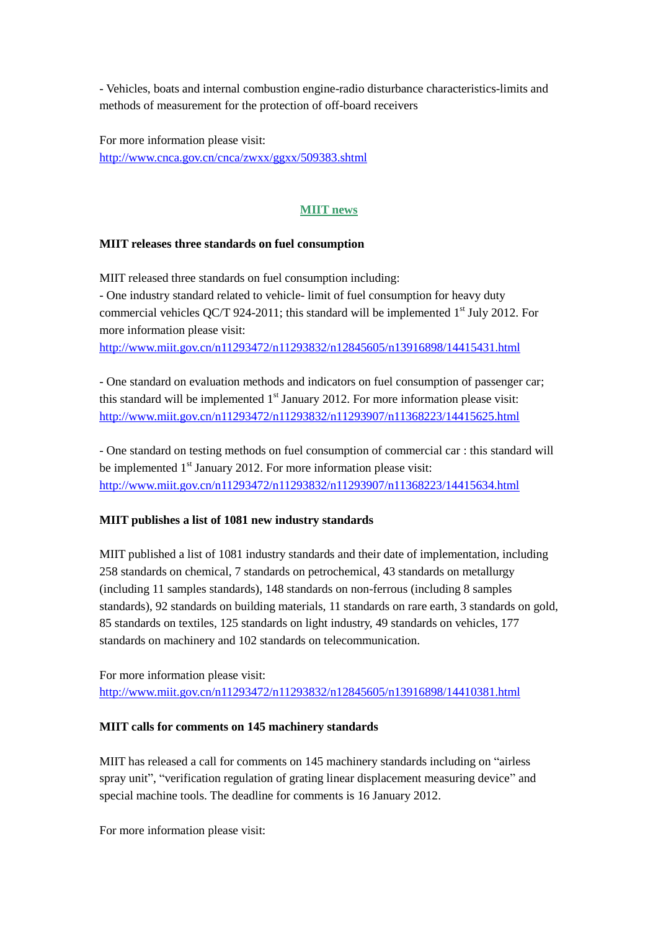- Vehicles, boats and internal combustion engine-radio disturbance characteristics-limits and methods of measurement for the protection of off-board receivers

For more information please visit: <http://www.cnca.gov.cn/cnca/zwxx/ggxx/509383.shtml>

### **MIIT news**

#### **MIIT releases three standards on fuel consumption**

MIIT released three standards on fuel consumption including: - One industry standard related to vehicle- limit of fuel consumption for heavy duty

commercial vehicles QC/T 924-2011; this standard will be implemented  $1<sup>st</sup>$  July 2012. For more information please visit:

<http://www.miit.gov.cn/n11293472/n11293832/n12845605/n13916898/14415431.html>

- One standard on evaluation methods and indicators on fuel consumption of passenger car; this standard will be implemented  $1<sup>st</sup>$  January 2012. For more information please visit: <http://www.miit.gov.cn/n11293472/n11293832/n11293907/n11368223/14415625.html>

- One standard on testing methods on fuel consumption of commercial car : this standard will be implemented  $1<sup>st</sup>$  January 2012. For more information please visit: <http://www.miit.gov.cn/n11293472/n11293832/n11293907/n11368223/14415634.html>

#### **MIIT publishes a list of 1081 new industry standards**

MIIT published a list of 1081 industry standards and their date of implementation, including 258 standards on chemical, 7 standards on petrochemical, 43 standards on metallurgy (including 11 samples standards), 148 standards on non-ferrous (including 8 samples standards), 92 standards on building materials, 11 standards on rare earth, 3 standards on gold, 85 standards on textiles, 125 standards on light industry, 49 standards on vehicles, 177 standards on machinery and 102 standards on telecommunication.

For more information please visit: <http://www.miit.gov.cn/n11293472/n11293832/n12845605/n13916898/14410381.html>

#### **MIIT calls for comments on 145 machinery standards**

MIIT has released a call for comments on 145 machinery standards including on "airless spray unit", "verification regulation of grating linear displacement measuring device" and special machine tools. The deadline for comments is 16 January 2012.

For more information please visit: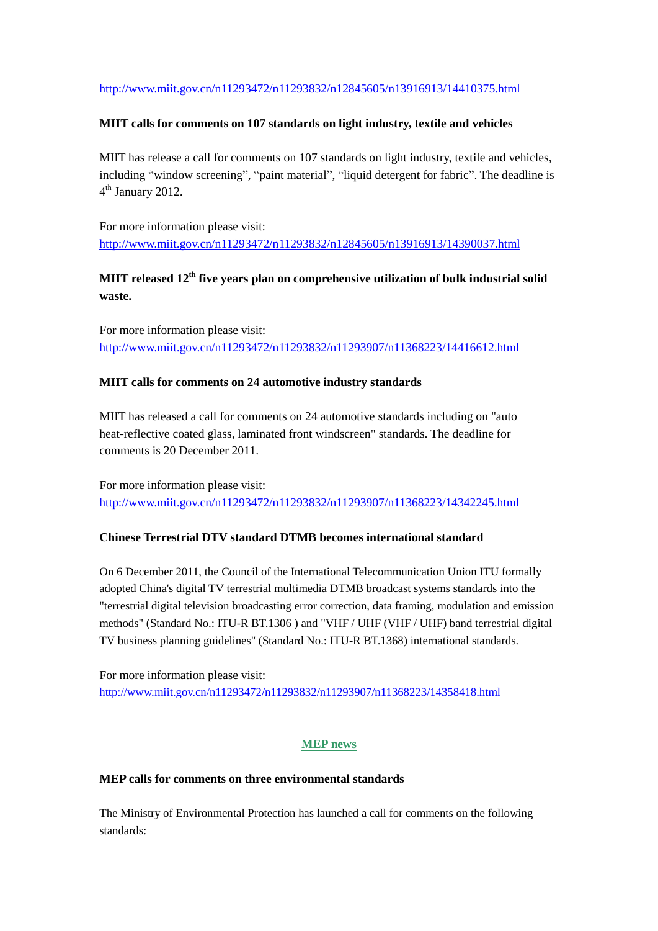### <http://www.miit.gov.cn/n11293472/n11293832/n12845605/n13916913/14410375.html>

#### **MIIT calls for comments on 107 standards on light industry, textile and vehicles**

MIIT has release a call for comments on 107 standards on light industry, textile and vehicles, including "window screening", "paint material", "liquid detergent for fabric". The deadline is 4<sup>th</sup> January 2012.

For more information please visit: <http://www.miit.gov.cn/n11293472/n11293832/n12845605/n13916913/14390037.html>

# **MIIT released 12th five years plan on comprehensive utilization of bulk industrial solid waste.**

For more information please visit: <http://www.miit.gov.cn/n11293472/n11293832/n11293907/n11368223/14416612.html>

### **MIIT calls for comments on 24 automotive industry standards**

MIIT has released a call for comments on 24 automotive standards including on "auto heat-reflective coated glass, laminated front windscreen" standards. The deadline for comments is 20 December 2011.

For more information please visit: <http://www.miit.gov.cn/n11293472/n11293832/n11293907/n11368223/14342245.html>

#### **Chinese Terrestrial DTV standard DTMB becomes international standard**

On 6 December 2011, the Council of the International Telecommunication Union ITU formally adopted China's digital TV terrestrial multimedia DTMB broadcast systems standards into the "terrestrial digital television broadcasting error correction, data framing, modulation and emission methods" (Standard No.: ITU-R BT.1306 ) and "VHF / UHF (VHF / UHF) band terrestrial digital TV business planning guidelines" (Standard No.: ITU-R BT.1368) international standards.

For more information please visit: <http://www.miit.gov.cn/n11293472/n11293832/n11293907/n11368223/14358418.html>

### **MEP news**

#### **MEP calls for comments on three environmental standards**

The Ministry of Environmental Protection has launched a call for comments on the following standards: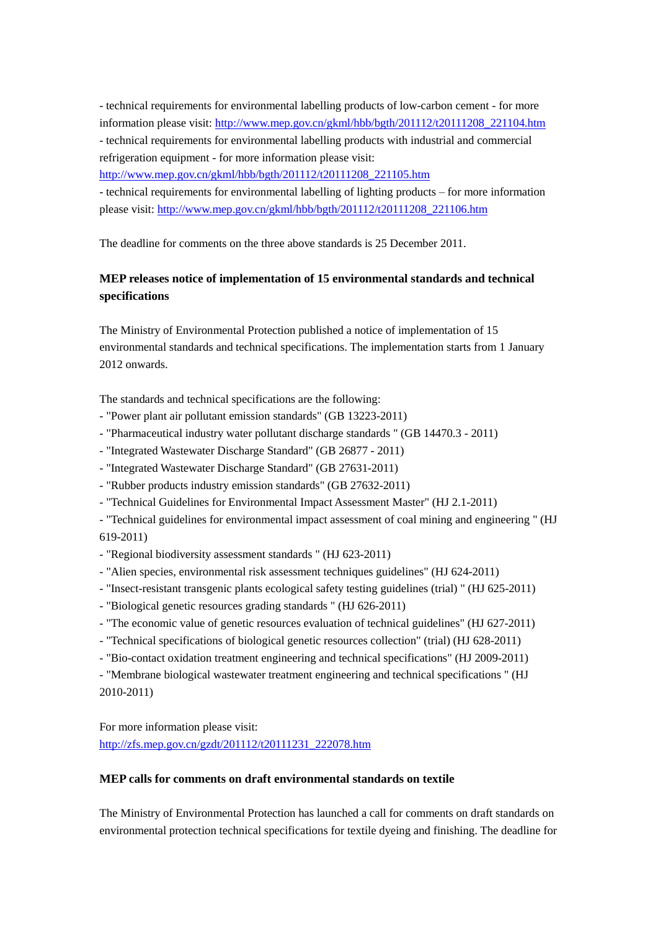- technical requirements for environmental labelling products of low-carbon cement - for more information please visit[: http://www.mep.gov.cn/gkml/hbb/bgth/201112/t20111208\\_221104.htm](http://www.mep.gov.cn/gkml/hbb/bgth/201112/t20111208_221104.htm)

- technical requirements for environmental labelling products with industrial and commercial refrigeration equipment - for more information please visit:

[http://www.mep.gov.cn/gkml/hbb/bgth/201112/t20111208\\_221105.htm](http://www.mep.gov.cn/gkml/hbb/bgth/201112/t20111208_221105.htm)

- technical requirements for environmental labelling of lighting products – for more information please visit: [http://www.mep.gov.cn/gkml/hbb/bgth/201112/t20111208\\_221106.htm](http://www.mep.gov.cn/gkml/hbb/bgth/201112/t20111208_221106.htm)

The deadline for comments on the three above standards is 25 December 2011.

# **MEP releases notice of implementation of 15 environmental standards and technical specifications**

The Ministry of Environmental Protection published a notice of implementation of 15 environmental standards and technical specifications. The implementation starts from 1 January 2012 onwards.

The standards and technical specifications are the following:

- "Power plant air pollutant emission standards" (GB 13223-2011)
- "Pharmaceutical industry water pollutant discharge standards " (GB 14470.3 2011)
- "Integrated Wastewater Discharge Standard" (GB 26877 2011)
- "Integrated Wastewater Discharge Standard" (GB 27631-2011)
- "Rubber products industry emission standards" (GB 27632-2011)
- "Technical Guidelines for Environmental Impact Assessment Master" (HJ 2.1-2011)
- "Technical guidelines for environmental impact assessment of coal mining and engineering " (HJ 619-2011)
- "Regional biodiversity assessment standards " (HJ 623-2011)
- "Alien species, environmental risk assessment techniques guidelines" (HJ 624-2011)
- "Insect-resistant transgenic plants ecological safety testing guidelines (trial) " (HJ 625-2011)
- "Biological genetic resources grading standards " (HJ 626-2011)
- "The economic value of genetic resources evaluation of technical guidelines" (HJ 627-2011)
- "Technical specifications of biological genetic resources collection" (trial) (HJ 628-2011)
- "Bio-contact oxidation treatment engineering and technical specifications" (HJ 2009-2011)

- "Membrane biological wastewater treatment engineering and technical specifications " (HJ 2010-2011)

For more information please visit: [http://zfs.mep.gov.cn/gzdt/201112/t20111231\\_222078.htm](http://zfs.mep.gov.cn/gzdt/201112/t20111231_222078.htm)

#### **MEP calls for comments on draft environmental standards on textile**

The Ministry of Environmental Protection has launched a call for comments on draft standards on environmental protection technical specifications for textile dyeing and finishing. The deadline for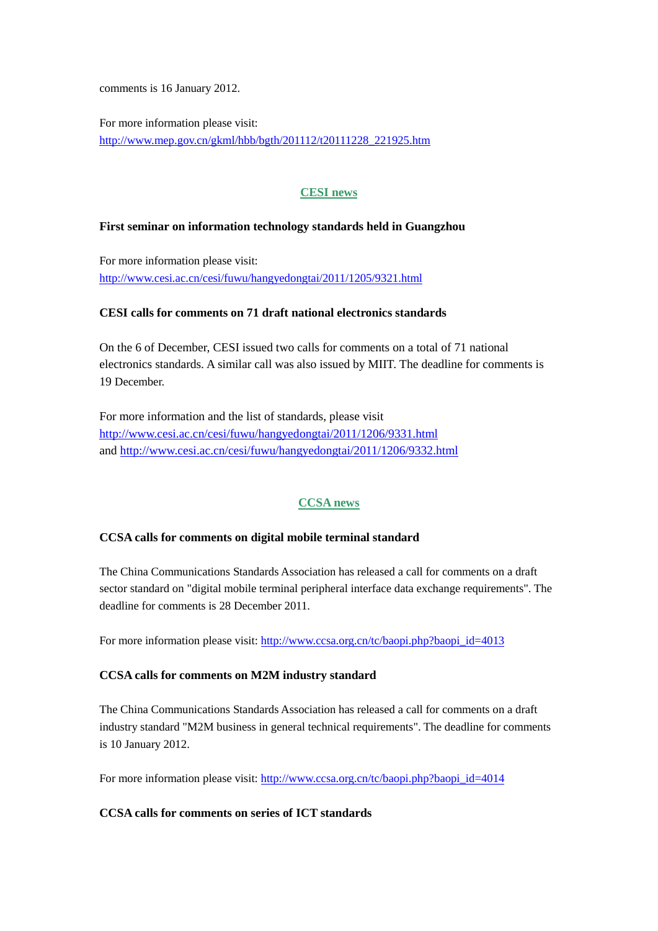comments is 16 January 2012.

For more information please visit: [http://www.mep.gov.cn/gkml/hbb/bgth/201112/t20111228\\_221925.htm](http://www.mep.gov.cn/gkml/hbb/bgth/201112/t20111228_221925.htm)

# **CESI news**

#### **First seminar on information technology standards held in Guangzhou**

For more information please visit: <http://www.cesi.ac.cn/cesi/fuwu/hangyedongtai/2011/1205/9321.html>

#### **CESI calls for comments on 71 draft national electronics standards**

On the 6 of December, CESI issued two calls for comments on a total of 71 national electronics standards. A similar call was also issued by MIIT. The deadline for comments is 19 December.

For more information and the list of standards, please visit <http://www.cesi.ac.cn/cesi/fuwu/hangyedongtai/2011/1206/9331.html> and<http://www.cesi.ac.cn/cesi/fuwu/hangyedongtai/2011/1206/9332.html>

### **CCSA news**

#### **CCSA calls for comments on digital mobile terminal standard**

The China Communications Standards Association has released a call for comments on a draft sector standard on "digital mobile terminal peripheral interface data exchange requirements". The deadline for comments is 28 December 2011.

For more information please visit: [http://www.ccsa.org.cn/tc/baopi.php?baopi\\_id=4013](http://www.ccsa.org.cn/tc/baopi.php?baopi_id=4013)

#### **CCSA calls for comments on M2M industry standard**

The China Communications Standards Association has released a call for comments on a draft industry standard "M2M business in general technical requirements". The deadline for comments is 10 January 2012.

For more information please visit: [http://www.ccsa.org.cn/tc/baopi.php?baopi\\_id=4014](http://www.ccsa.org.cn/tc/baopi.php?baopi_id=4014)

#### **CCSA calls for comments on series of ICT standards**